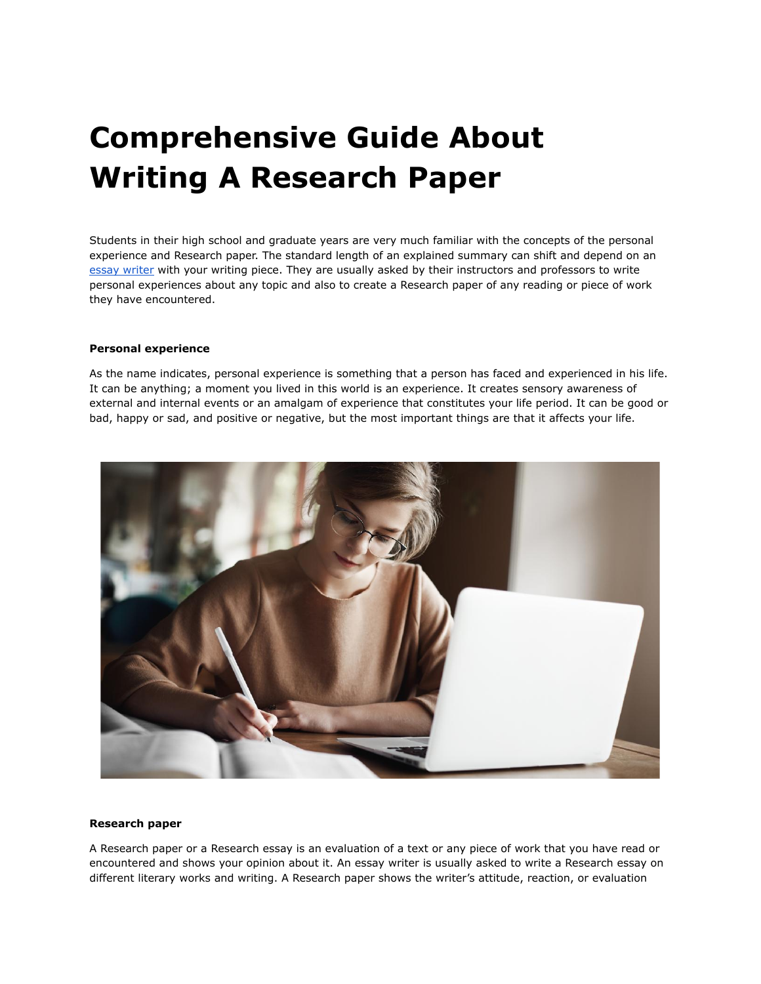## **Comprehensive Guide About Writing A Research Paper**

Students in their high school and graduate years are very much familiar with the concepts of the personal experience and Research paper. The standard length of an explained summary can shift and depend on an essay [writer](https://youressaywriter.net/) with your writing piece. They are usually asked by their instructors and professors to write personal experiences about any topic and also to create a Research paper of any reading or piece of work they have encountered.

## **Personal experience**

As the name indicates, personal experience is something that a person has faced and experienced in his life. It can be anything; a moment you lived in this world is an experience. It creates sensory awareness of external and internal events or an amalgam of experience that constitutes your life period. It can be good or bad, happy or sad, and positive or negative, but the most important things are that it affects your life.



## **Research paper**

A Research paper or a Research essay is an evaluation of a text or any piece of work that you have read or encountered and shows your opinion about it. An essay writer is usually asked to write a Research essay on different literary works and writing. A Research paper shows the writer's attitude, reaction, or evaluation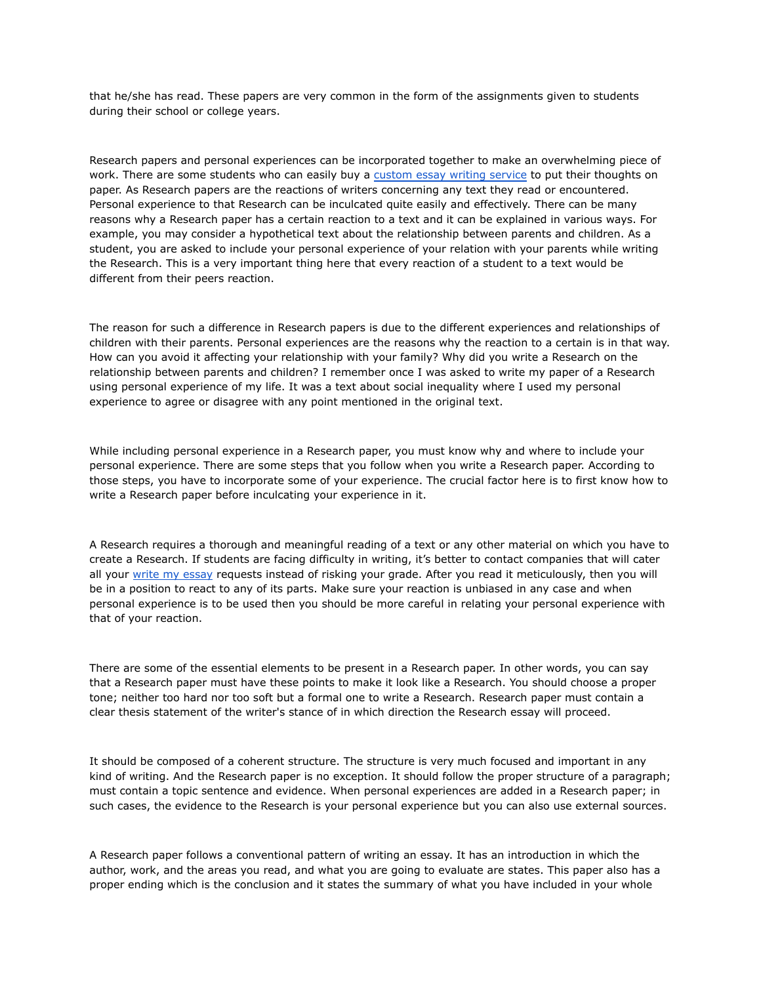that he/she has read. These papers are very common in the form of the assignments given to students during their school or college years.

Research papers and personal experiences can be incorporated together to make an overwhelming piece of work. There are some students who can easily buy a [custom](https://theessaywritingservice.com/) essay writing service to put their thoughts on paper. As Research papers are the reactions of writers concerning any text they read or encountered. Personal experience to that Research can be inculcated quite easily and effectively. There can be many reasons why a Research paper has a certain reaction to a text and it can be explained in various ways. For example, you may consider a hypothetical text about the relationship between parents and children. As a student, you are asked to include your personal experience of your relation with your parents while writing the Research. This is a very important thing here that every reaction of a student to a text would be different from their peers reaction.

The reason for such a difference in Research papers is due to the different experiences and relationships of children with their parents. Personal experiences are the reasons why the reaction to a certain is in that way. How can you avoid it affecting your relationship with your family? Why did you write a Research on the relationship between parents and children? I remember once I was asked to write my paper of a Research using personal experience of my life. It was a text about social inequality where I used my personal experience to agree or disagree with any point mentioned in the original text.

While including personal experience in a Research paper, you must know why and where to include your personal experience. There are some steps that you follow when you write a Research paper. According to those steps, you have to incorporate some of your experience. The crucial factor here is to first know how to write a Research paper before inculcating your experience in it.

A Research requires a thorough and meaningful reading of a text or any other material on which you have to create a Research. If students are facing difficulty in writing, it's better to contact companies that will cater all your write my [essay](https://writemyessayfast.net/) requests instead of risking your grade. After you read it meticulously, then you will be in a position to react to any of its parts. Make sure your reaction is unbiased in any case and when personal experience is to be used then you should be more careful in relating your personal experience with that of your reaction.

There are some of the essential elements to be present in a Research paper. In other words, you can say that a Research paper must have these points to make it look like a Research. You should choose a proper tone; neither too hard nor too soft but a formal one to write a Research. Research paper must contain a clear thesis statement of the writer's stance of in which direction the Research essay will proceed.

It should be composed of a coherent structure. The structure is very much focused and important in any kind of writing. And the Research paper is no exception. It should follow the proper structure of a paragraph; must contain a topic sentence and evidence. When personal experiences are added in a Research paper; in such cases, the evidence to the Research is your personal experience but you can also use external sources.

A Research paper follows a conventional pattern of writing an essay. It has an introduction in which the author, work, and the areas you read, and what you are going to evaluate are states. This paper also has a proper ending which is the conclusion and it states the summary of what you have included in your whole